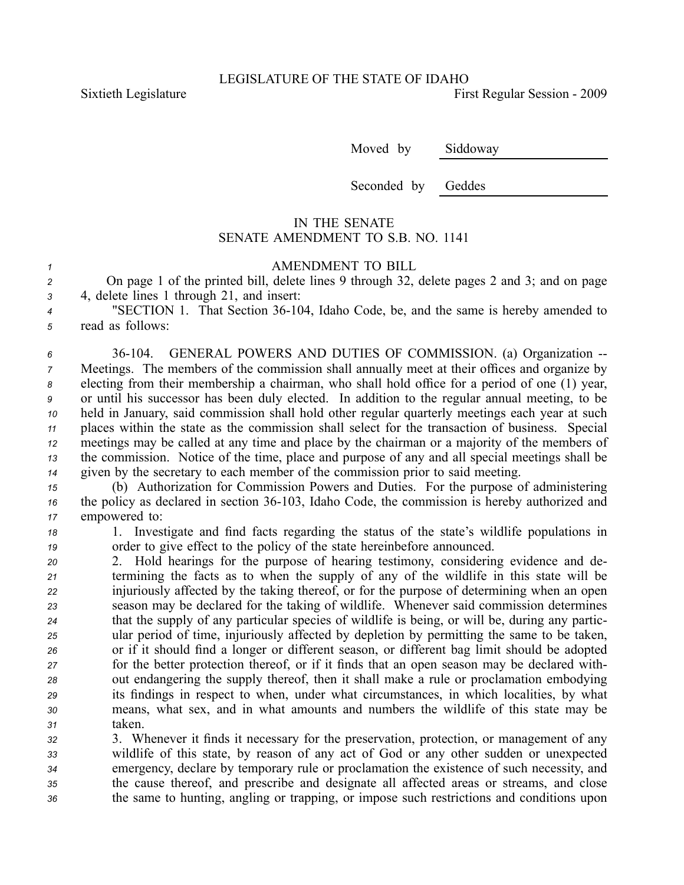Sixtieth Legislature **First** Regular Session - 2009

Moved by Siddoway

Seconded by Geddes

## IN THE SENATE SENATE AMENDMENT TO S.B. NO. 1141

## *<sup>1</sup>* AMENDMENT TO BILL

*<sup>2</sup>* On page 1 of the printed bill, delete lines 9 through 32, delete pages 2 and 3; and on page *<sup>3</sup>* 4, delete lines 1 through 21, and insert:

<sup>4</sup> "SECTION 1. That Section 36-104, Idaho Code, be, and the same is hereby amended to *<sup>5</sup>* read as follows:

 36104. GENERAL POWERS AND DUTIES OF COMMISSION. (a) Organization Meetings. The members of the commission shall annually meet at their offices and organize by electing from their membership <sup>a</sup> chairman, who shall hold office for <sup>a</sup> period of one (1) year, or until his successor has been duly elected. In addition to the regular annual meeting, to be held in January, said commission shall hold other regular quarterly meetings each year at such places within the state as the commission shall select for the transaction of business. Special meetings may be called at any time and place by the chairman or <sup>a</sup> majority of the members of the commission. Notice of the time, place and purpose of any and all special meetings shall be given by the secretary to each member of the commission prior to said meeting.

*<sup>15</sup>* (b) Authorization for Commission Powers and Duties. For the purpose of administering *<sup>16</sup>* the policy as declared in section 36103, Idaho Code, the commission is hereby authorized and *<sup>17</sup>* empowered to:

*<sup>18</sup>* 1. Investigate and find facts regarding the status of the state's wildlife populations in *<sup>19</sup>* order to give effect to the policy of the state hereinbefore announced.

 2. Hold hearings for the purpose of hearing testimony, considering evidence and de- termining the facts as to when the supply of any of the wildlife in this state will be injuriously affected by the taking thereof, or for the purpose of determining when an open season may be declared for the taking of wildlife. Whenever said commission determines that the supply of any particular species of wildlife is being, or will be, during any partic- ular period of time, injuriously affected by depletion by permitting the same to be taken, or if it should find <sup>a</sup> longer or different season, or different bag limit should be adopted for the better protection thereof, or if it finds that an open season may be declared with- out endangering the supply thereof, then it shall make <sup>a</sup> rule or proclamation embodying its findings in respec<sup>t</sup> to when, under what circumstances, in which localities, by what means, what sex, and in what amounts and numbers the wildlife of this state may be *<sup>31</sup>* taken.

 3. Whenever it finds it necessary for the preservation, protection, or managemen<sup>t</sup> of any wildlife of this state, by reason of any act of God or any other sudden or unexpected emergency, declare by temporary rule or proclamation the existence of such necessity, and the cause thereof, and prescribe and designate all affected areas or streams, and close the same to hunting, angling or trapping, or impose such restrictions and conditions upon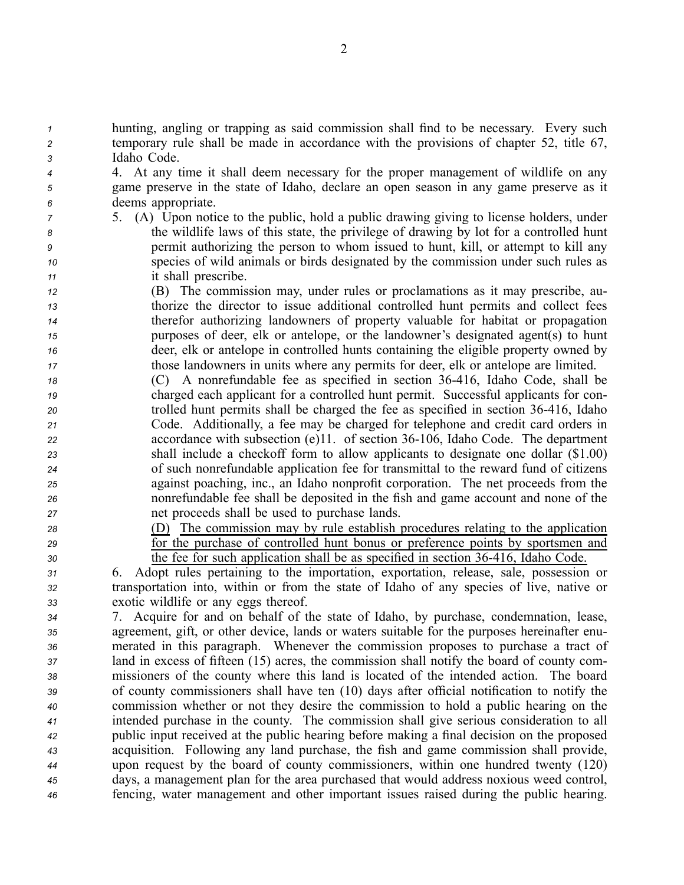*<sup>1</sup>* hunting, angling or trapping as said commission shall find to be necessary. Every such *<sup>2</sup>* temporary rule shall be made in accordance with the provisions of chapter 52, title 67, *<sup>3</sup>* Idaho Code.

*<sup>4</sup>* 4. At any time it shall deem necessary for the proper managemen<sup>t</sup> of wildlife on any *<sup>5</sup>* game preserve in the state of Idaho, declare an open season in any game preserve as it *<sup>6</sup>* deems appropriate.

- 
- 

 5. (A) Upon notice to the public, hold <sup>a</sup> public drawing giving to license holders, under the wildlife laws of this state, the privilege of drawing by lot for <sup>a</sup> controlled hunt permit authorizing the person to whom issued to hunt, kill, or attempt to kill any species of wild animals or birds designated by the commission under such rules as it shall prescribe.

 (B) The commission may, under rules or proclamations as it may prescribe, au- thorize the director to issue additional controlled hunt permits and collect fees therefor authorizing landowners of property valuable for habitat or propagation purposes of deer, elk or antelope, or the landowner's designated agent(s) to hunt deer, elk or antelope in controlled hunts containing the eligible property owned by those landowners in units where any permits for deer, elk or antelope are limited.

- *<sup>18</sup>* (C) A nonrefundable fee as specified in section 36416, Idaho Code, shall be *<sup>19</sup>* charged each applicant for <sup>a</sup> controlled hunt permit. Successful applicants for con-*<sup>20</sup>* trolled hunt permits shall be charged the fee as specified in section 36416, Idaho *<sup>21</sup>* Code. Additionally, <sup>a</sup> fee may be charged for telephone and credit card orders in *<sup>22</sup>* accordance with subsection (e)11. of section 36106, Idaho Code. The department *<sup>23</sup>* shall include <sup>a</sup> checkoff form to allow applicants to designate one dollar (\$1.00) *<sup>24</sup>* of such nonrefundable application fee for transmittal to the reward fund of citizens *<sup>25</sup>* against poaching, inc., an Idaho nonprofit corporation. The net proceeds from the *<sup>26</sup>* nonrefundable fee shall be deposited in the fish and game account and none of the *<sup>27</sup>* net proceeds shall be used to purchase lands.
- -

*<sup>28</sup>* (D) The commission may by rule establish procedures relating to the application *<sup>29</sup>* for the purchase of controlled hunt bonus or preference points by sportsmen and *30* the fee for such application shall be as specified in section 36-416, Idaho Code.

*<sup>31</sup>* 6. Adopt rules pertaining to the importation, exportation, release, sale, possession or *<sup>32</sup>* transportation into, within or from the state of Idaho of any species of live, native or *<sup>33</sup>* exotic wildlife or any eggs thereof.

 7. Acquire for and on behalf of the state of Idaho, by purchase, condemnation, lease, agreement, gift, or other device, lands or waters suitable for the purposes hereinafter enu- merated in this paragraph. Whenever the commission proposes to purchase <sup>a</sup> tract of land in excess of fifteen (15) acres, the commission shall notify the board of county com- missioners of the county where this land is located of the intended action. The board of county commissioners shall have ten (10) days after official notification to notify the commission whether or not they desire the commission to hold <sup>a</sup> public hearing on the intended purchase in the county. The commission shall give serious consideration to all public input received at the public hearing before making <sup>a</sup> final decision on the proposed acquisition. Following any land purchase, the fish and game commission shall provide, upon reques<sup>t</sup> by the board of county commissioners, within one hundred twenty (120) days, <sup>a</sup> managemen<sup>t</sup> plan for the area purchased that would address noxious weed control, fencing, water managemen<sup>t</sup> and other important issues raised during the public hearing.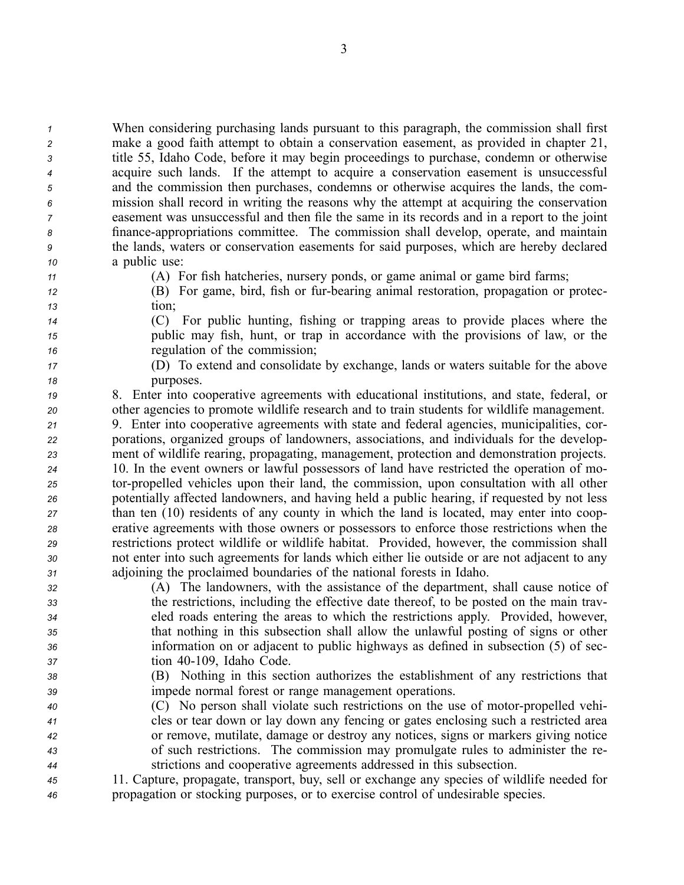When considering purchasing lands pursuan<sup>t</sup> to this paragraph, the commission shall first make <sup>a</sup> good faith attempt to obtain <sup>a</sup> conservation easement, as provided in chapter 21, title 55, Idaho Code, before it may begin proceedings to purchase, condemn or otherwise acquire such lands. If the attempt to acquire <sup>a</sup> conservation easement is unsuccessful and the commission then purchases, condemns or otherwise acquires the lands, the com- mission shall record in writing the reasons why the attempt at acquiring the conservation easement was unsuccessful and then file the same in its records and in <sup>a</sup> repor<sup>t</sup> to the joint financeappropriations committee. The commission shall develop, operate, and maintain the lands, waters or conservation easements for said purposes, which are hereby declared <sup>a</sup> public use:

*<sup>11</sup>* (A) For fish hatcheries, nursery ponds, or game animal or game bird farms;

- *<sup>12</sup>* (B) For game, bird, fish or furbearing animal restoration, propagation or protec-*<sup>13</sup>* tion;
- 

*<sup>14</sup>* (C) For public hunting, fishing or trapping areas to provide places where the *<sup>15</sup>* public may fish, hunt, or trap in accordance with the provisions of law, or the *<sup>16</sup>* regulation of the commission;

*<sup>17</sup>* (D) To extend and consolidate by exchange, lands or waters suitable for the above *18* purposes.

*<sup>19</sup>* 8. Enter into cooperative agreements with educational institutions, and state, federal, or *<sup>20</sup>* other agencies to promote wildlife research and to train students for wildlife management.

 9. Enter into cooperative agreements with state and federal agencies, municipalities, cor- porations, organized groups of landowners, associations, and individuals for the develop- ment of wildlife rearing, propagating, management, protection and demonstration projects. 10. In the event owners or lawful possessors of land have restricted the operation of mo- torpropelled vehicles upon their land, the commission, upon consultation with all other potentially affected landowners, and having held <sup>a</sup> public hearing, if requested by not less than ten (10) residents of any county in which the land is located, may enter into coop- erative agreements with those owners or possessors to enforce those restrictions when the restrictions protect wildlife or wildlife habitat. Provided, however, the commission shall not enter into such agreements for lands which either lie outside or are not adjacent to any adjoining the proclaimed boundaries of the national forests in Idaho.

 (A) The landowners, with the assistance of the department, shall cause notice of the restrictions, including the effective date thereof, to be posted on the main trav- eled roads entering the areas to which the restrictions apply. Provided, however, that nothing in this subsection shall allow the unlawful posting of signs or other information on or adjacent to public highways as defined in subsection (5) of sec-tion 40109, Idaho Code.

- *<sup>38</sup>* (B) Nothing in this section authorizes the establishment of any restrictions that *<sup>39</sup>* impede normal forest or range managemen<sup>t</sup> operations.
- *<sup>40</sup>* (C) No person shall violate such restrictions on the use of motorpropelled vehi-*<sup>41</sup>* cles or tear down or lay down any fencing or gates enclosing such <sup>a</sup> restricted area *<sup>42</sup>* or remove, mutilate, damage or destroy any notices, signs or markers giving notice *<sup>43</sup>* of such restrictions. The commission may promulgate rules to administer the re-*<sup>44</sup>* strictions and cooperative agreements addressed in this subsection.
- *<sup>45</sup>* 11. Capture, propagate, transport, buy, sell or exchange any species of wildlife needed for *<sup>46</sup>* propagation or stocking purposes, or to exercise control of undesirable species.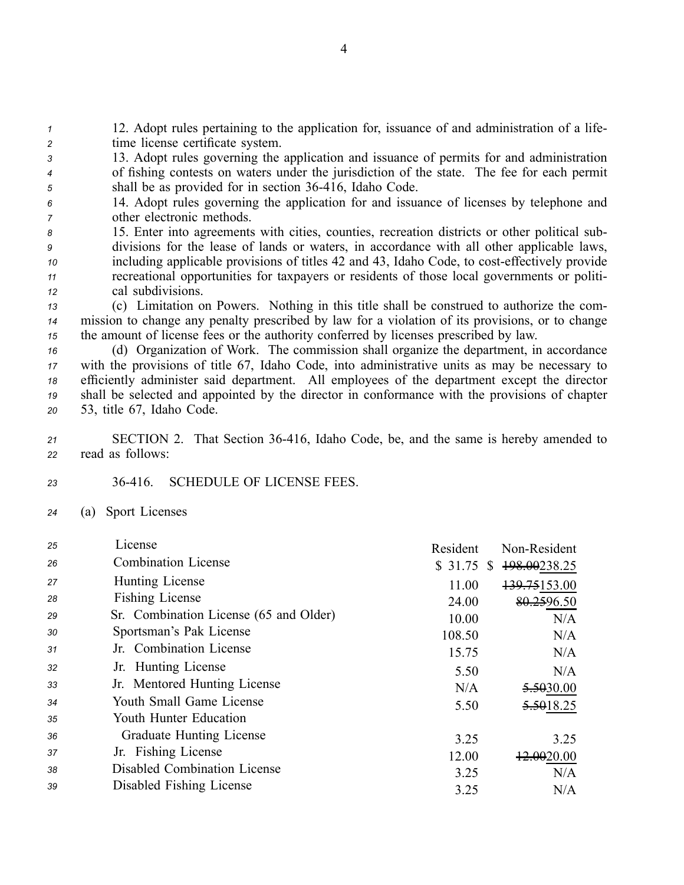*<sup>1</sup>* 12. Adopt rules pertaining to the application for, issuance of and administration of <sup>a</sup> life-*<sup>2</sup>* time license certificate system.

*<sup>3</sup>* 13. Adopt rules governing the application and issuance of permits for and administration *<sup>4</sup>* of fishing contests on waters under the jurisdiction of the state. The fee for each permit *<sup>5</sup>* shall be as provided for in section 36416, Idaho Code.

- *<sup>6</sup>* 14. Adopt rules governing the application for and issuance of licenses by telephone and *<sup>7</sup>* other electronic methods.
- *<sup>8</sup>* 15. Enter into agreements with cities, counties, recreation districts or other political sub-*<sup>9</sup>* divisions for the lease of lands or waters, in accordance with all other applicable laws, *<sup>10</sup>* including applicable provisions of titles 42 and 43, Idaho Code, to costeffectively provide *<sup>11</sup>* recreational opportunities for taxpayers or residents of those local governments or politi-*<sup>12</sup>* cal subdivisions.

*<sup>13</sup>* (c) Limitation on Powers. Nothing in this title shall be construed to authorize the com-*<sup>14</sup>* mission to change any penalty prescribed by law for <sup>a</sup> violation of its provisions, or to change *<sup>15</sup>* the amount of license fees or the authority conferred by licenses prescribed by law.

 (d) Organization of Work. The commission shall organize the department, in accordance with the provisions of title 67, Idaho Code, into administrative units as may be necessary to efficiently administer said department. All employees of the department excep<sup>t</sup> the director shall be selected and appointed by the director in conformance with the provisions of chapter 53, title 67, Idaho Code.

*<sup>21</sup>* SECTION 2. That Section 36416, Idaho Code, be, and the same is hereby amended to *<sup>22</sup>* read as follows:

*23* 36416. SCHEDULE OF LICENSE FEES.

*<sup>24</sup>* (a) Sport Licenses

| 25 | License                                | Resident    | Non-Resident          |
|----|----------------------------------------|-------------|-----------------------|
| 26 | <b>Combination License</b>             | $$31.75$ \$ | 198.00238.25          |
| 27 | Hunting License                        | 11.00       | 139.75153.00          |
| 28 | Fishing License                        | 24.00       | 80.2596.50            |
| 29 | Sr. Combination License (65 and Older) | 10.00       | N/A                   |
| 30 | Sportsman's Pak License                | 108.50      | N/A                   |
| 31 | Jr. Combination License                | 15.75       | N/A                   |
| 32 | Jr. Hunting License                    | 5.50        | N/A                   |
| 33 | Jr. Mentored Hunting License           | N/A         | <del>5.50</del> 30.00 |
| 34 | Youth Small Game License               | 5.50        | 5.5018.25             |
| 35 | Youth Hunter Education                 |             |                       |
| 36 | <b>Graduate Hunting License</b>        | 3.25        | 3.25                  |
| 37 | Jr. Fishing License                    | 12.00       | +2.0020.00            |
| 38 | Disabled Combination License           | 3.25        | N/A                   |
| 39 | Disabled Fishing License               | 3.25        | N/A                   |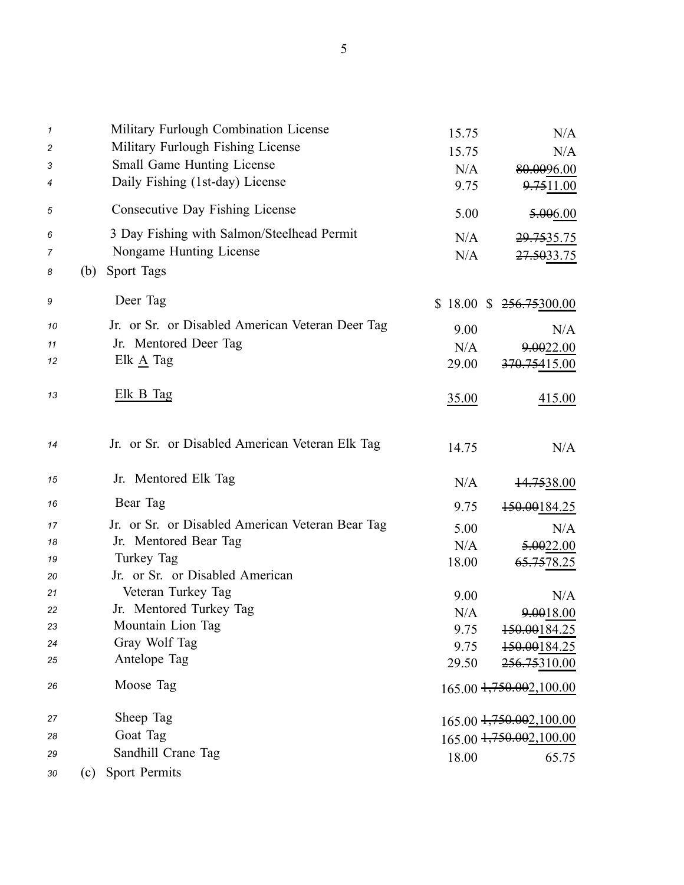| 1<br>2<br>3<br>4 |     | Military Furlough Combination License<br>Military Furlough Fishing License<br>Small Game Hunting License<br>Daily Fishing (1st-day) License | 15.75<br>15.75<br>N/A<br>9.75 | N/A<br>N/A<br>80.0096.00<br><del>9.75</del> 11.00 |
|------------------|-----|---------------------------------------------------------------------------------------------------------------------------------------------|-------------------------------|---------------------------------------------------|
| 5                |     | Consecutive Day Fishing License                                                                                                             | 5.00                          | <del>5.00</del> 6.00                              |
| 6                |     | 3 Day Fishing with Salmon/Steelhead Permit                                                                                                  |                               |                                                   |
| 7                |     | Nongame Hunting License                                                                                                                     | N/A<br>N/A                    | <del>29.75</del> 35.75<br><del>27.50</del> 33.75  |
| 8                | (b) | Sport Tags                                                                                                                                  |                               |                                                   |
| 9                |     | Deer Tag                                                                                                                                    | \$18.00\$                     | 256.75300.00                                      |
| 10               |     | Jr. or Sr. or Disabled American Veteran Deer Tag                                                                                            | 9.00                          | N/A                                               |
| 11               |     | Jr. Mentored Deer Tag                                                                                                                       | N/A                           | 9.0022.00                                         |
| 12               |     | Elk $\underline{A}$ Tag                                                                                                                     | 29.00                         | 370.75415.00                                      |
| 13               |     | Elk B Tag                                                                                                                                   | 35.00                         | 415.00                                            |
| 14               |     | Jr. or Sr. or Disabled American Veteran Elk Tag                                                                                             | 14.75                         | N/A                                               |
| 15               |     | Jr. Mentored Elk Tag                                                                                                                        | N/A                           | <del>14.75</del> 38.00                            |
| 16               |     | Bear Tag                                                                                                                                    | 9.75                          | 150.00184.25                                      |
| 17               |     | Jr. or Sr. or Disabled American Veteran Bear Tag                                                                                            | 5.00                          | N/A                                               |
| 18               |     | Jr. Mentored Bear Tag                                                                                                                       | N/A                           | 5.0022.00                                         |
| 19               |     | Turkey Tag                                                                                                                                  | 18.00                         | 65.7578.25                                        |
| 20               |     | Jr. or Sr. or Disabled American                                                                                                             |                               |                                                   |
| 21               |     | Veteran Turkey Tag                                                                                                                          | 9.00                          | N/A                                               |
| 22               |     | Jr. Mentored Turkey Tag                                                                                                                     | N/A                           | 9.0018.00                                         |
| 23               |     | Mountain Lion Tag                                                                                                                           | 9.75                          | 150.00184.25                                      |
| 24               |     | Gray Wolf Tag<br>Antelope Tag                                                                                                               | 9.75                          | 150.00184.25                                      |
| 25               |     |                                                                                                                                             | 29.50                         | 256.75310.00                                      |
| 26               |     | Moose Tag                                                                                                                                   |                               | 165.00 + 750.00 2, 100.00                         |
| 27               |     | Sheep Tag                                                                                                                                   |                               | 165.00 + 750.00 2, 100.00                         |
| 28               |     | Goat Tag                                                                                                                                    |                               | 165.00 + 750.00 2, 100.00                         |
| 29               |     | Sandhill Crane Tag                                                                                                                          | 18.00                         | 65.75                                             |
| 30               | (c) | Sport Permits                                                                                                                               |                               |                                                   |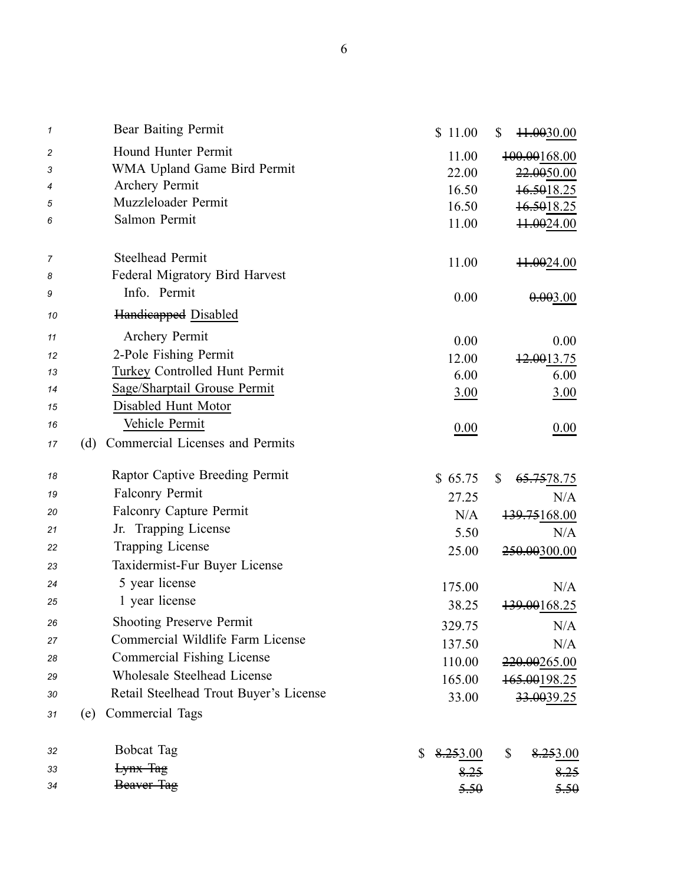| 1  | Bear Baiting Permit                    | \$11.00        | \$<br><del>11.00</del> 30.00 |
|----|----------------------------------------|----------------|------------------------------|
| 2  | Hound Hunter Permit                    | 11.00          | 100.00168.00                 |
| 3  | WMA Upland Game Bird Permit            | 22.00          | 22.0050.00                   |
| 4  | Archery Permit                         | 16.50          | 16.5018.25                   |
| 5  | Muzzleloader Permit                    | 16.50          | 16.5018.25                   |
| 6  | Salmon Permit                          | 11.00          | 11.0024.00                   |
| 7  | <b>Steelhead Permit</b>                | 11.00          | 11.0024.00                   |
| 8  | Federal Migratory Bird Harvest         |                |                              |
| 9  | Info. Permit                           | 0.00           | 0.003.00                     |
| 10 | <b>Handieapped</b> Disabled            |                |                              |
| 11 | Archery Permit                         | 0.00           | 0.00                         |
| 12 | 2-Pole Fishing Permit                  | 12.00          | 12.0013.75                   |
| 13 | <b>Turkey Controlled Hunt Permit</b>   | 6.00           | 6.00                         |
| 14 | Sage/Sharptail Grouse Permit           | 3.00           | <u>3.00</u>                  |
| 15 | Disabled Hunt Motor                    |                |                              |
| 16 | Vehicle Permit                         | 0.00           | 0.00                         |
| 17 | Commercial Licenses and Permits<br>(d) |                |                              |
| 18 | Raptor Captive Breeding Permit         | \$65.75        | \$<br><del>65.75</del> 78.75 |
| 19 | <b>Falconry Permit</b>                 | 27.25          | N/A                          |
| 20 | <b>Falconry Capture Permit</b>         | N/A            | 139.75168.00                 |
| 21 | Jr. Trapping License                   | 5.50           | N/A                          |
| 22 | Trapping License                       | 25.00          | 250.00300.00                 |
| 23 | Taxidermist-Fur Buyer License          |                |                              |
| 24 | 5 year license                         | 175.00         | N/A                          |
| 25 | 1 year license                         | 38.25          | <del>.00</del> 168.25        |
| 26 | <b>Shooting Preserve Permit</b>        | 329.75         | N/A                          |
| 27 | Commercial Wildlife Farm License       | 137.50         | N/A                          |
| 28 | Commercial Fishing License             | 110.00         | 220.00265.00                 |
| 29 | Wholesale Steelhead License            | 165.00         | 165.00198.25                 |
| 30 | Retail Steelhead Trout Buyer's License | 33.00          | 33.0039.25                   |
| 31 | Commercial Tags<br>(e)                 |                |                              |
| 32 | <b>Bobcat Tag</b>                      | 8.253.00<br>\$ | \$<br>8.253.00               |
| 33 | Lynx Tag                               | 8.25           | 8.25                         |
| 34 | Beaver Tag                             | 5.50           | 5.50                         |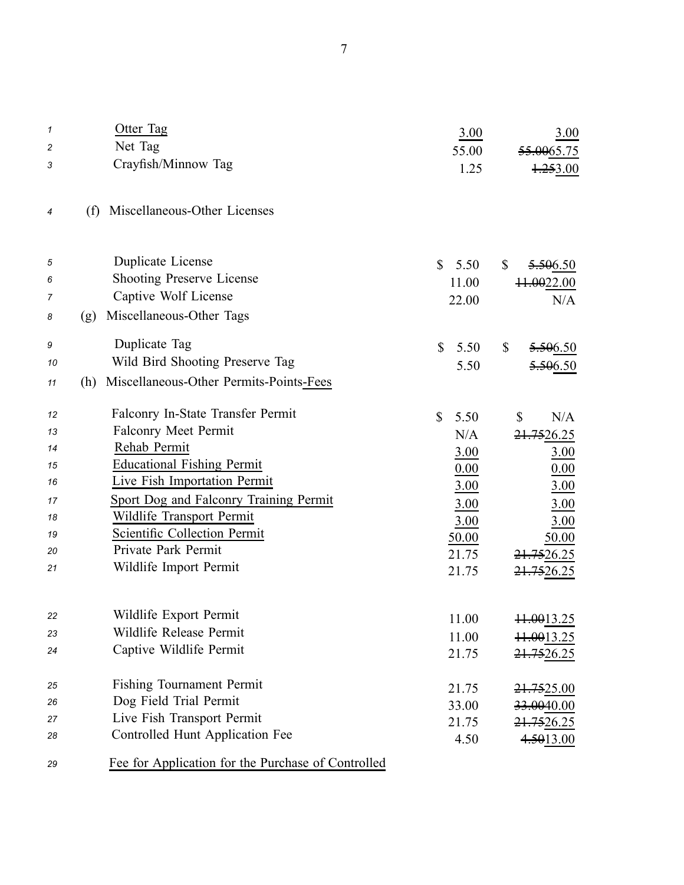| 1  | Otter Tag                                          | 3.00                 | 3.00                       |
|----|----------------------------------------------------|----------------------|----------------------------|
| 2  | Net Tag                                            | 55.00                | <del>55.00</del> 65.75     |
| 3  | Crayfish/Minnow Tag                                | 1.25                 | $+253.00$                  |
| 4  | Miscellaneous-Other Licenses<br>(f)                |                      |                            |
| 5  | Duplicate License                                  | $\mathbb{S}$<br>5.50 | \$<br>5.506.50             |
| 6  | <b>Shooting Preserve License</b>                   | 11.00                | 11.0022.00                 |
| 7  | Captive Wolf License                               | 22.00                | N/A                        |
| 8  | Miscellaneous-Other Tags<br>(g)                    |                      |                            |
| 9  | Duplicate Tag                                      | $\mathbb{S}$<br>5.50 | \$<br><del>5.50</del> 6.50 |
| 10 | Wild Bird Shooting Preserve Tag                    | 5.50                 | <del>.50</del> 6.50        |
| 11 | Miscellaneous-Other Permits-Points-Fees<br>(h)     |                      |                            |
| 12 | Falconry In-State Transfer Permit                  | \$<br>5.50           | N/A<br>\$                  |
| 13 | Falconry Meet Permit                               | N/A                  | <del>21.75</del> 26.25     |
| 14 | Rehab Permit                                       | 3.00                 | 3.00                       |
| 15 | <b>Educational Fishing Permit</b>                  | 0.00                 | 0.00                       |
| 16 | Live Fish Importation Permit                       | 3.00                 | 3.00                       |
| 17 | Sport Dog and Falconry Training Permit             | 3.00                 | 3.00                       |
| 18 | Wildlife Transport Permit                          | 3.00                 | 3.00                       |
| 19 | Scientific Collection Permit                       | 50.00                | 50.00                      |
| 20 | Private Park Permit                                | 21.75                | 21.7526.25                 |
| 21 | Wildlife Import Permit                             | 21.75                | 21.7526.25                 |
| 22 | Wildlife Export Permit                             |                      |                            |
| 23 | Wildlife Release Permit                            | 11.00                | <del>11.00</del> 13.25     |
| 24 | Captive Wildlife Permit                            | 11.00                | 11.0013.25                 |
|    |                                                    | 21.75                | 21.7526.25                 |
| 25 | Fishing Tournament Permit                          | 21.75                | 21.7525.00                 |
| 26 | Dog Field Trial Permit                             | 33.00                | 33.0040.00                 |
| 27 | Live Fish Transport Permit                         | 21.75                | 21.7526.25                 |
| 28 | Controlled Hunt Application Fee                    | 4.50                 | 4.5013.00                  |
| 29 | Fee for Application for the Purchase of Controlled |                      |                            |